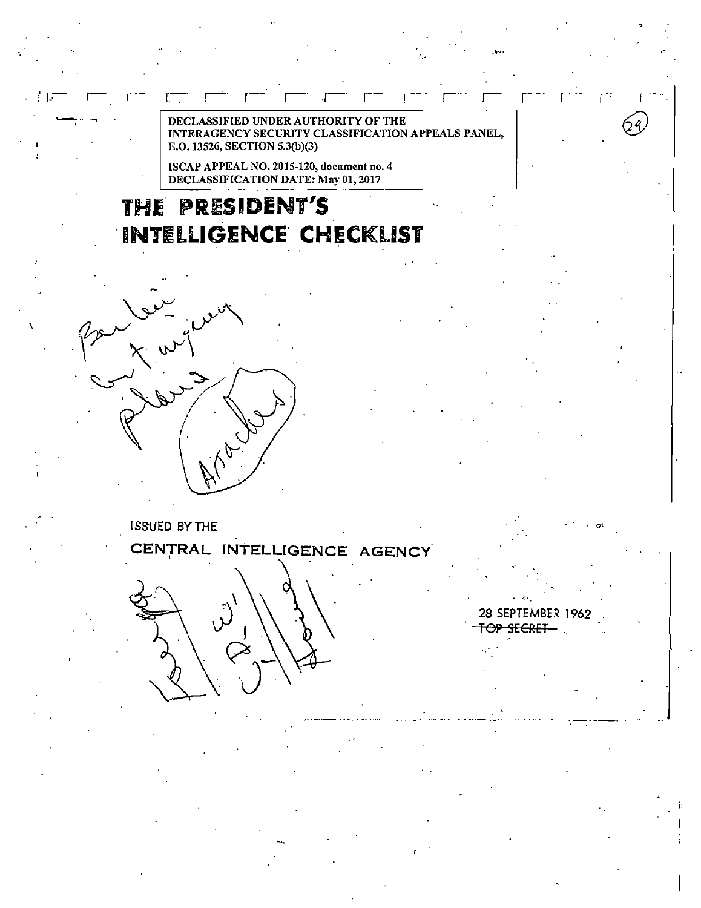DECLASSIFIED UNDER AUTHORITY OF THE INTERAGENCY SECURITY CLASSIFICATION APPEALS PANEL, E.O. 13526, SECTION 5.3(b)(3)

ISCAP APPEAL NO. 2015-120, document no. 4 DECLASSIFICATION DATE: May 01, 2017

## **THE PRESIDENT'S 'INTELLIGENCE' CHECKLIST**



L.

-..... -~

\

**ISSUED BY THE CENTRAL INTELLIGENCE AGENCY** 

. -q.·

 $\mathbf{I}$ 

24,

28 SEPTEMBER 1962 . <del>SECRET</del>

 $\mathcal{L}^{(1)}$ 

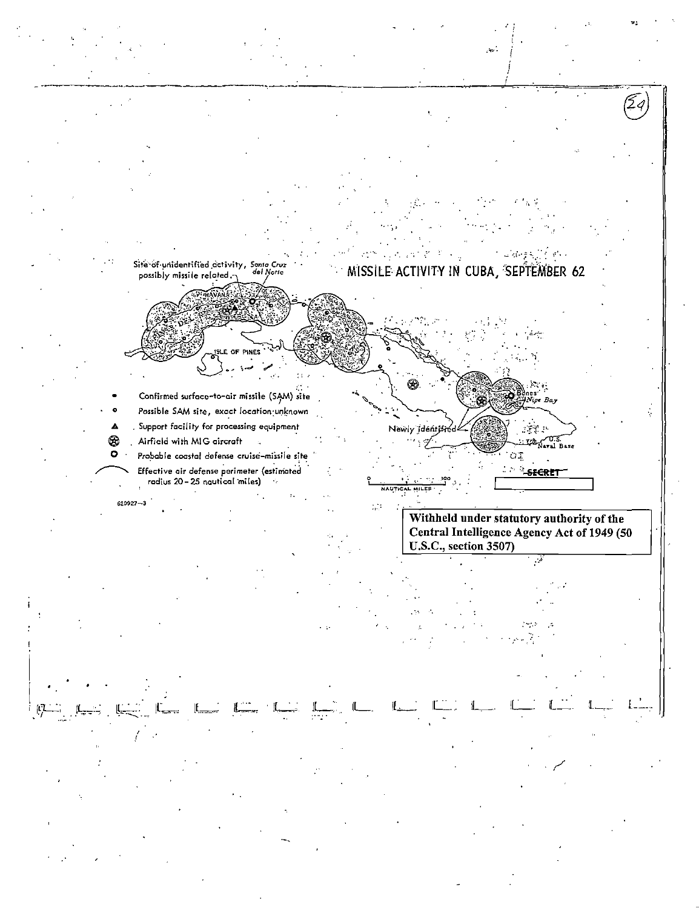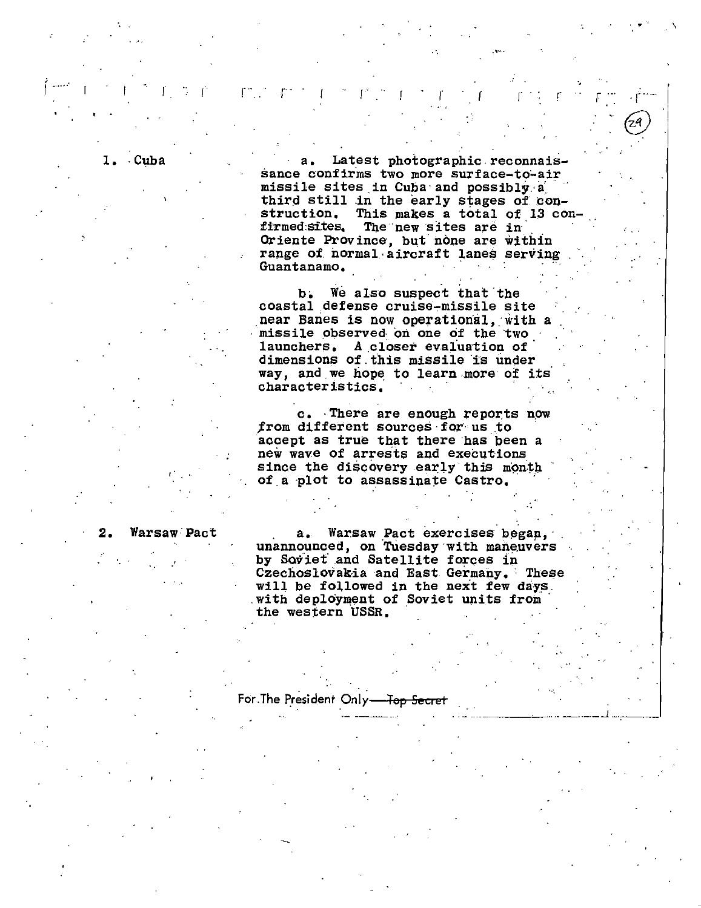Latest photographic reconnaissance confirms two more surface-to-air missile sites in Cuba and possibly a third still in the early stages of construction. This makes a total of 13 confirmed sites. The new sites are in Oriente Province, but none are within range of normal aircraft lanes serving

Guantanamo.

We also suspect that the  $\mathbf{b}$ . coastal defense cruise-missile site near Banes is now operational, with a missile observed on one of the two launchers. A closer evaluation of dimensions of this missile is under way, and we hope to learn more of its characteristics.

c. There are enough reports now from different sources for us to accept as true that there has been a new wave of arrests and executions since the discovery early this month of a plot to assassinate Castro.

Warsaw Pact

1. Cuba

Warsaw Pact exercises began.  $a_{\bullet}$ unannounced, on Tuesday with maneuvers by Soviet and Satellite forces in Czechoslovakia and East Germany. These will be followed in the next few days. with deployment of Soviet units from the western USSR.

For The President Only-<del>Ten</del>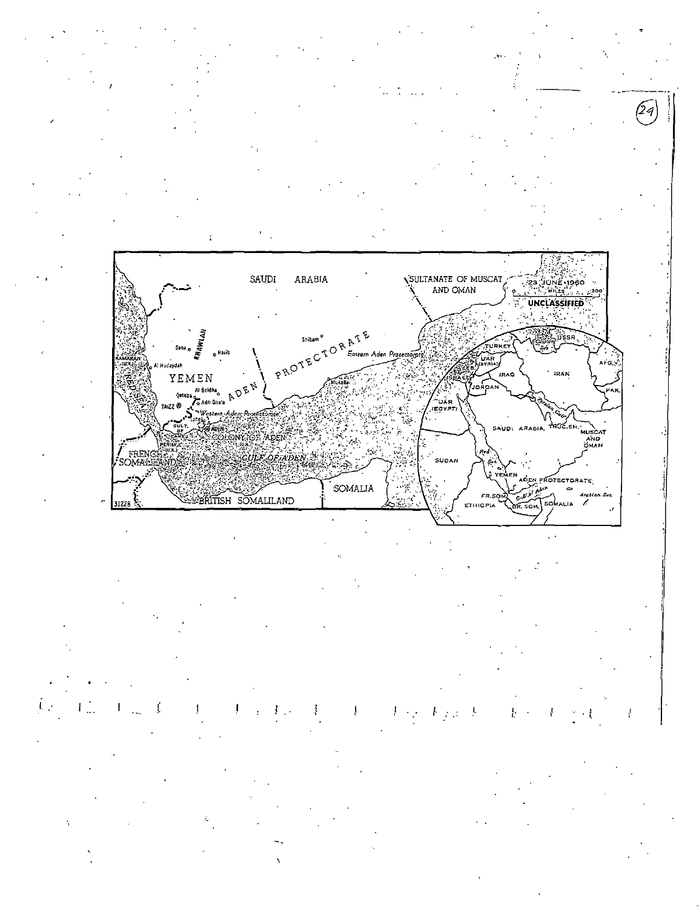

**ONY TOP** ADEN **FREN** SUDAN **DEN PROTECTORATE** SOMALIA i Adam  $\Rightarrow$ F<mark>R.S</mark><br>ETHIOPIA BRITISH SOMALILAND Ġ.  $\cdot$ 31228 SOMALIA

AND

Arabian  $S_{40}$ 

k,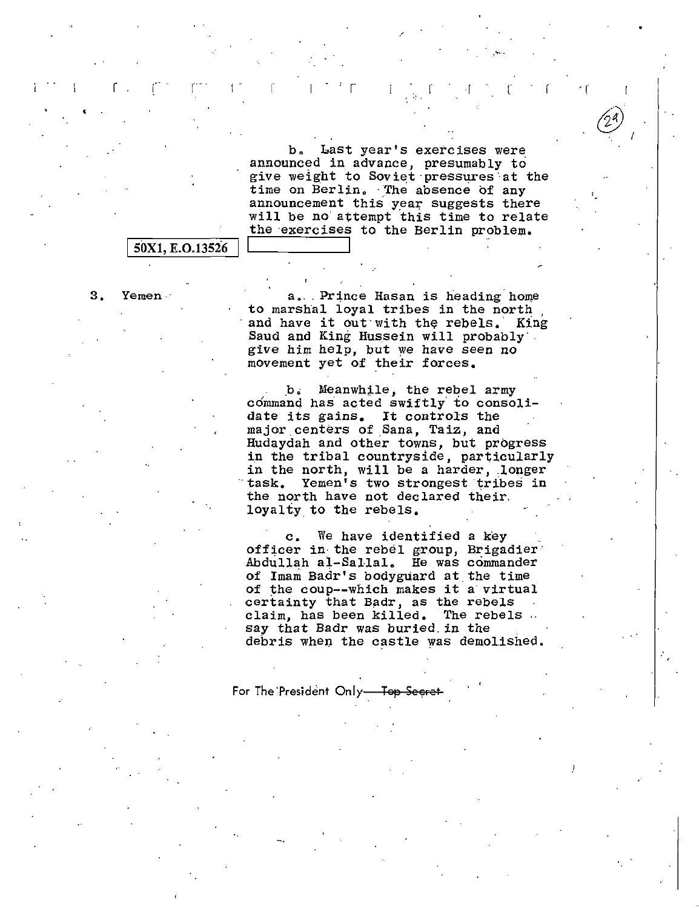b. Last year's exercises were announced in advance, presumably to give weight to Soviet·pressures·at the time on Berlin. The absence of any announcement this year suggests there will be no· attempt this time to relate the exercises to the Berlin problem.

 $\cdot$  r

 $\circled{2^{\mathsf{a}}}$  .  $\zeta$  I

 $\mathbf{r}$  .  $\mathbf{r} = \mathbf{r}$  is  $\mathbf{r} = \mathbf{r}$  in the set of  $\mathbf{r} = \mathbf{r}$  in  $\mathbf{r} = \mathbf{r}$  ,  $\mathbf{r} = \mathbf{r}$  ,  $\mathbf{r} = \mathbf{r}$  ,  $\mathbf{r} = \mathbf{r}$  ,  $\mathbf{r} = \mathbf{r}$ 

## 50X1, E.O.13526

3. Yemen.<br>1. The mass of to marshal loyal tribes in the north in the north and have it out with the rebels. King Saud and King Hussein will probably·. give him help, but we have seen no movement yet of their forces •

> b. Meanwhile, the rebel army command has acted swiftly to consolidate its gains. It controls the major centers of Sana, Taiz, and Hudaydah and other towns, but progress in the tribal countryside, particularly in the north, will be a harder, longer task. Yemen's two strongest tribes in the north have not declared their. loyalty to the rebels.

c. We have identified a key officer in the rebel group, Brigadier Abdullah al-Sallal. He was commander of Imam Badr's bodyguard at the time of the coup--which makes it a virtual certainty that Badr, as the rebels claim, has been killed. The rebels say that Badr was buried. in the debris when the castle was demolished.

For The President Only-Top Secret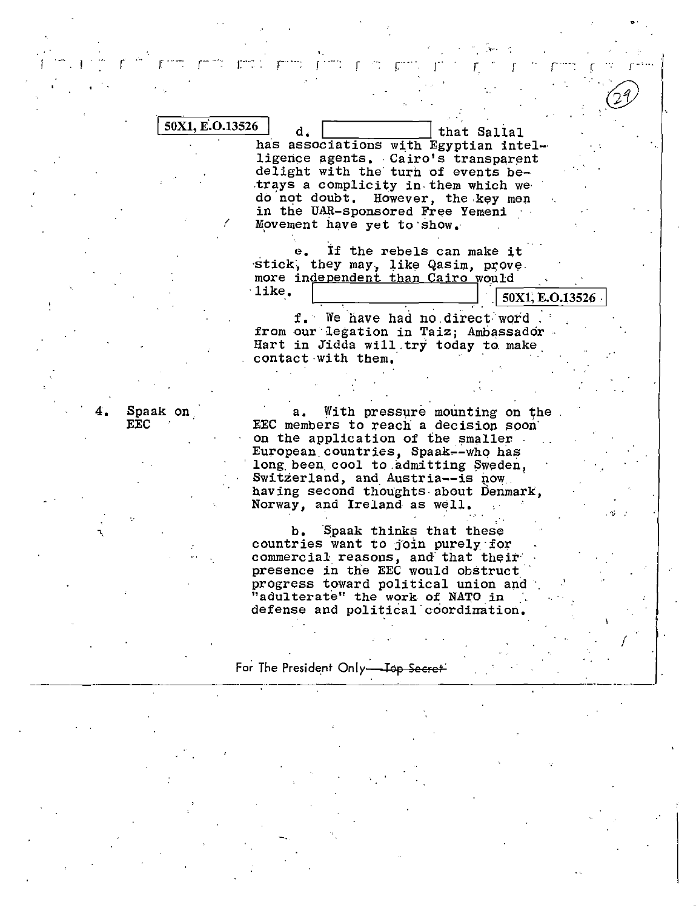| 50X1, E.O.13526 |                                                                              |
|-----------------|------------------------------------------------------------------------------|
|                 | d.<br>that Sallal                                                            |
|                 | has associations with Egyptian intel-<br>ligence agents. Cairo's transparent |
|                 | delight with the turn of events be-                                          |
|                 | trays a complicity in them which we                                          |
|                 | do not doubt. However, the key men                                           |
|                 | in the UAR-sponsored Free Yemeni                                             |
|                 | Movement have yet to show.                                                   |
|                 |                                                                              |
|                 | If the rebels can make it                                                    |
|                 | stick, they may, like Qasim, prove.                                          |
|                 | more independent than Cairo would                                            |
|                 | like.                                                                        |
|                 | 50X1, E.O.13526                                                              |
|                 | f. We have had no direct word                                                |
|                 | from our legation in Taiz; Ambassador.                                       |
|                 | Hart in Jidda will try today to make                                         |
|                 | contact with them.                                                           |
|                 |                                                                              |
|                 |                                                                              |
|                 |                                                                              |
| Spaak on        | With pressure mounting on the<br>а.                                          |
| <b>EEC</b>      | EEC members to reach a decision soon                                         |
|                 | on the application of the smaller                                            |
|                 | European countries, Spaak--who has                                           |
|                 | long been cool to admitting Sweden,<br>Switzerland, and Austria--is now      |
|                 | having second thoughts about Denmark,                                        |
|                 | Norway, and Ireland as well.                                                 |
|                 |                                                                              |
|                 | b. Spaak thinks that these                                                   |
|                 | countries want to join purely for                                            |
|                 | commercial reasons, and that their                                           |
|                 | presence in the EEC would obstruct                                           |
|                 | progress toward political union and                                          |
|                 |                                                                              |

 $\frac{1}{2}$ 

 $\mathbb{C}^{n \times n}$  .

 $\mathbf{r}$ 

r

÷.

 $\mathbf{r}$ 

r

 $rac{1}{\sqrt{2}}$ 

r

 $\mathsf{r}$ 

 $r^{22}$ 

"adulterate" the work of NATO in defense and political coordination.  $\mathbb{R}^n$  .

For The President Only-Top Secret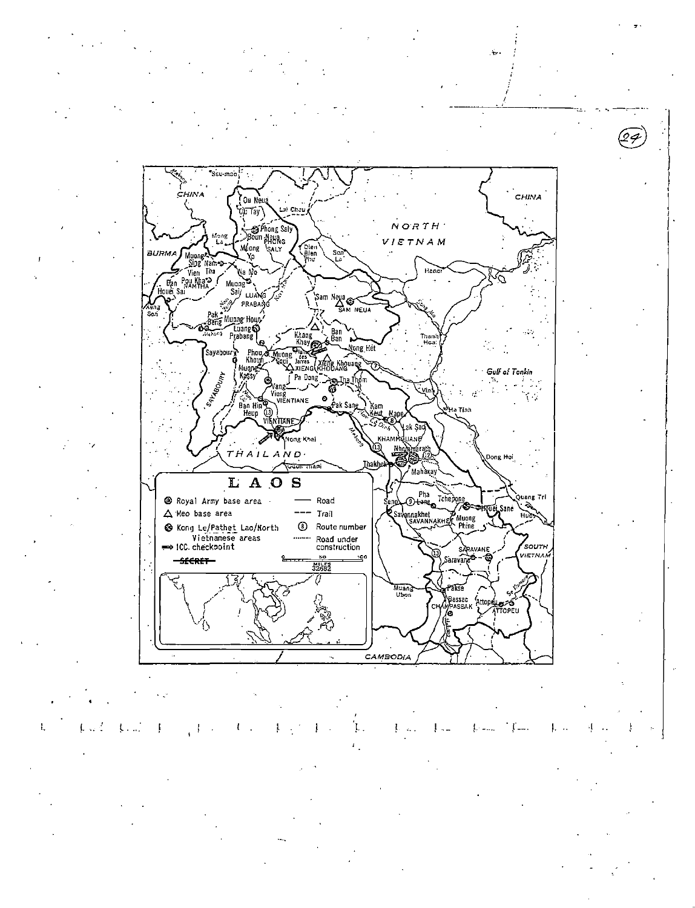"Ssu mao CHIMA CHINA Ou Neua Lai Chau O)I Tay \ Sphong Saly  $N$  O'R  $TH$  ' VIETNAM Muong Cien<br>Bien<br>Plu Mana Muong<br>Sing Names<br>Men Pou Khan<br>Mana Mana Canada **BUDM** Yo Hang Na M  $M\n <sup>Say</sup>\n  $L\nu\lambda\n$$ Sam Neua<br>SAM NEUA -<br>Sal PRABANG Pak Muong Houn . Bene Luang<br>Prabang Ban<br>Ban Khar<br>Kha Than<br>Hoa Sayaboury Phon rnou<br>Khouf<br>Kassy **XIENG** SAY-ABOURY **Gulf of Tonkin** Pa Dong Vieng<br>Vieng<br>VIENTIANE  $\begin{array}{c}\n\text{Ban Hine} \\
\text{Heup} \\
\text{Heup} \\
\text{WeynHane} \\
\end{array}$ Ô .<br>San .<br>Nong Khai **JANE**  $THAILAND$ Thakhe  $\widehat{\text{max}}$ tan .<br>Mal LAOS Pha Road Tchepon .<br>Quang Tri Royal Army base area Otene<sub>o</sub> Ŏ.  $\Delta$  Meo base area  $---$  Trail Savannakhet **P**<br>K Muong<br>K Phine Ήυλ **8** Route number S Kong Le/Pathet Lao/North Vietnamese areas Road under<br>construction SOUTH SARAVANE **VIETNA** ó SECRET  $\frac{50}{32682}$ 10 Sarava Muang<br>Ubon ศร CHAPASSAK Atto ∜Loreu<br>A⊤topeu Ľ

Ł  $L_{\rm{max}}$ 

CAMBODIA

÷,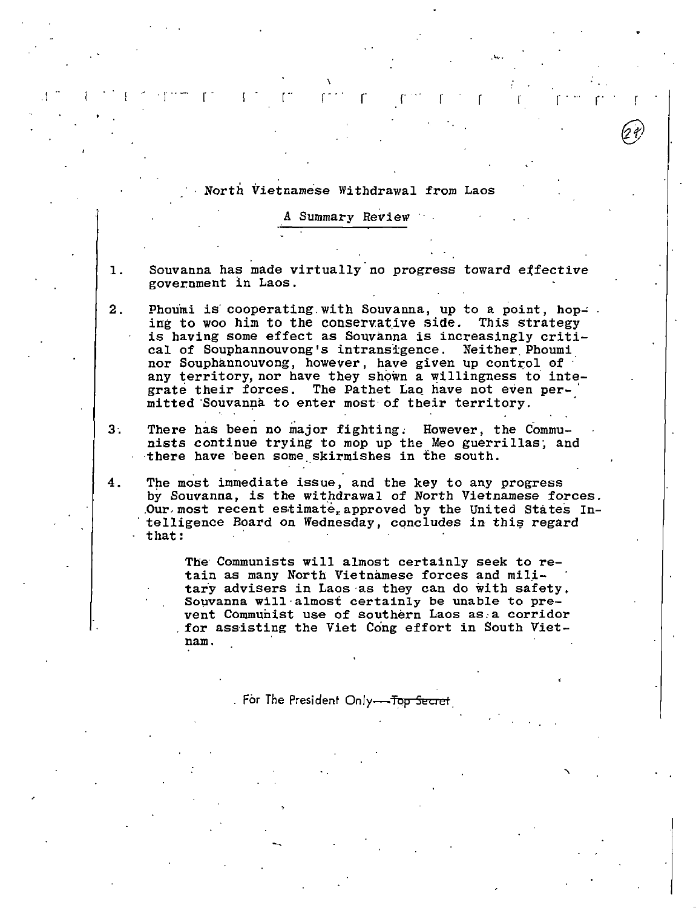## North Vietnamese Withdrawal from Laos

A Summary Review

- Souvanna has made virtually no progress toward effective  $\mathbf{1}$ . government in Laos.
- $2<sub>1</sub>$ Phoumi is cooperating with Souvanna, up to a point, hoping to woo him to the conservative side. This strategy is having some effect as Souvanna is increasingly critical of Souphannouvong's intransigence. Neither Phoumi nor Souphannouvong, however, have given up control of any territory, nor have they shown a willingness to integrate their forces. The Pathet Lao have not even permitted Souvanna to enter most of their territory.
- There has been no major fighting. However, the Commu- $3:$ nists continue trying to mop up the Meo guerrillas, and there have been some skirmishes in the south.
- 4. The most immediate issue, and the key to any progress by Souvanna, is the withdrawal of North Vietnamese forces. Our most recent estimate, approved by the United States Intelligence Board on Wednesday, concludes in this regard that:

The Communists will almost certainly seek to retain as many North Vietnamese forces and military advisers in Laos as they can do with safety, Souvanna will almost certainly be unable to prevent Communist use of southern Laos as a corridor for assisting the Viet Cong effort in South Vietnam.

. For The President Only---Top Secret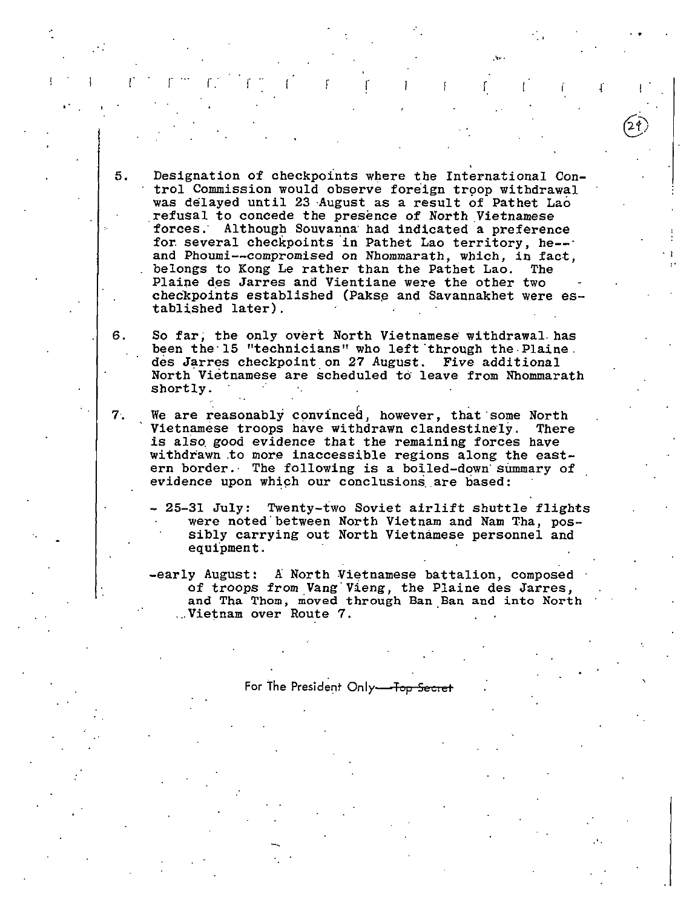5. Designation of checkpoints where the International Control Commission would observe foreign troop withdrawal was delayed until 23 ·August as a result of Pathet Lao refusal to concede the presence of North Vietnamese forces; Although Souvanna· had indicated a preference for several checkpoints in Pathet Lao territory, he-and Phoumi--compromised on Nhommarath, which, in fact, belongs to Kong Le rather than the Pathet Lao. The belongs to Kong Le rather than the Pathet Lao. Plaine des Jarres and Vientiane were the other two checkpoints established (Pakse and Savannakhet were established later).

r r r f r f r r r r r r

..

6. So far; the only overt North Vietnamese withdrawal. has been the·l5 "technicians" who left'through the-Plaine. des Jarres checkpoint on 27 August. Five additional North Vietnamese are scheduled to leave from Nhommarath shortly.

7. We are reasonably convinced, however, that some North Vietnamese troops have withdrawn clandestinely. There is also good evidence that the remaining forces have withdrawn to more inaccessible regions along the eastern border.· The following is a boiled-down· summary of evidence upon which our conclusions are based:

- 25-31 July: Twenty-two Soviet airlift shuttle flights were noted' between North Vietnam and Nam Tha, possibly carrying out North Vietnamese personnel and equipment.

-early August: A North Vietnamese battalion, composed of troops from Vang'Vieng, the Plaine des Jarres, and Tha Thom, moved through Ban Ban and into North ... Vietnam over Route 7.

For The President Only-Top Secret

--,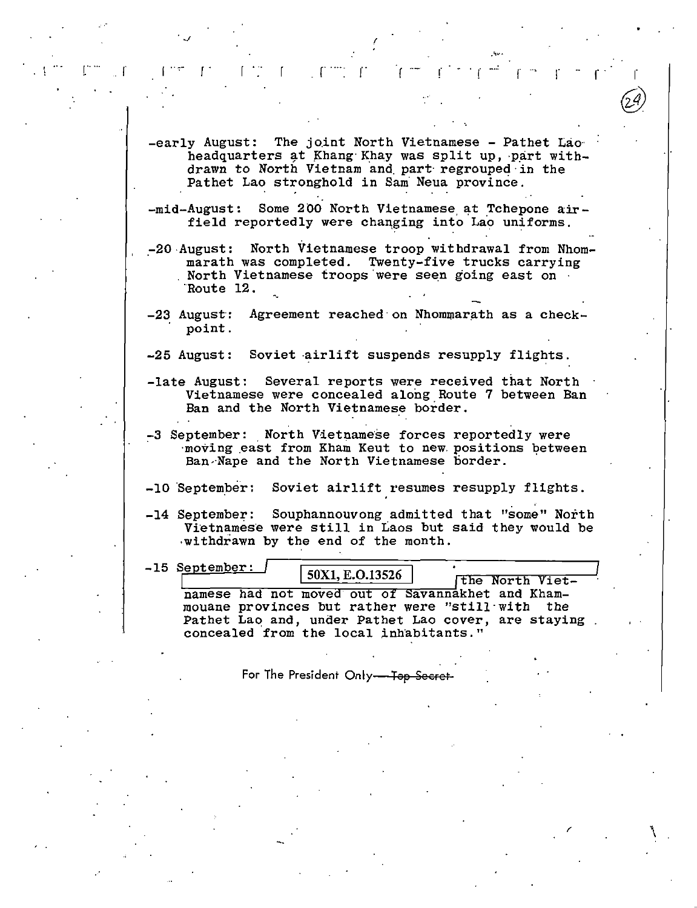$-$ early August: The joint North Vietnamese - Pathet Lao $\cdot$ headquarters at Khang Khay was split up, part withdrawn to North Vietnam and. part· regrouped·in the Pathet Lao stronghold in Sam Neua province.

.~ ...

 $J$  (and the set of the set of the set of the set of the set of the set of the set of the set of the set of the set of the set of the set of the set of the set of the set of the set of the set of the set of the set of the

 $\mathbf{r} = \mathbf{r} \cdot \mathbf{r} + \mathbf{r} \cdot \mathbf{r}$  .  $\mathbf{r} = \mathbf{r} \cdot \mathbf{r}$  ,  $\mathbf{r} = \mathbf{r} \cdot \mathbf{r} + \mathbf{r} \cdot \mathbf{r}$ 

 $-$ mid-August: Some 200 North Vietnamese at Tchepone airfield reportedly were changing into Lao uniforms.

-20 August: North Vietnamese troop withdrawal from Nhommarath was completed. Twenty-five trucks carrying<br>North Vietnamese troops were seen going east on ·Route 12. -.

-23 August: Agreement reached on Nhommarath as a checkpoint.

-25 August: Soviet airlift suspends resupply flights.

- -late August: Several reports were received that North Vietnamese were concealed along Route 7 between Ban Ban and the North Vietnamese border.
- -3 September: North Vietnamese forces reportedly were moving east from Kham Keut to new positions between Ban-Nape and the North Vietnamese border.
- -10 September: Soviet airlift resumes resupply flights.
- -14 September: Souphannouvong admitted that "some" North Vietnamese were still in Laos but said they would be ·withdrawn by the end of the month.

-15 September: 50X1, E.O.13526 The North Vietnamese had not moved out of Savannakhet and Khammouane provinces but rather were "still·with the Pathet Lao and, under Pathet Lao cover, are staying concealed from the local inhabitants."

 $\mathcal{L}$ 

For The President Only-Top Secret-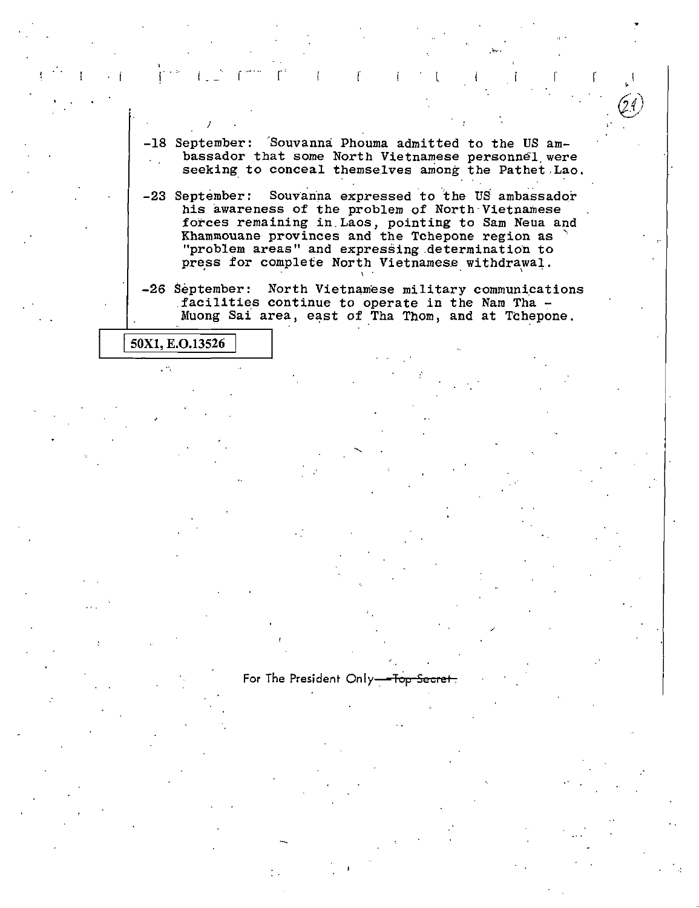-18 September: 'Souvanna Phouma admitted to the US ambassador that some North Vietnamese personnel were seeking to conceal themselves among the Pathet Lao.

 $\Gamma^{(18)}$  . Considering the set of the set of the set of the set of the set of the set of the set of the set of the set of the set of the set of the set of the set of the set of the set of the set of the set of the set of

-23 September: Souvanna expressed to the US ambassador his awareness of the problem of North Vietnamese forces remaining in.Laos, pointing to Sam Neua and Khammouane provinces and the Tchepone region as ' "problem areas" and expressing determination to press for complete North Vietnamese withdrawal.

-26 September: North Vietnamese military communications facilities continue to operate in the Nam Tha -<br>Muong Sai area, east of Tha Thom, and at Tchepone.

50X1, E.O.13526

 $\mathcal{P}_k$ 

)

For The President Only-Top Secret

,·